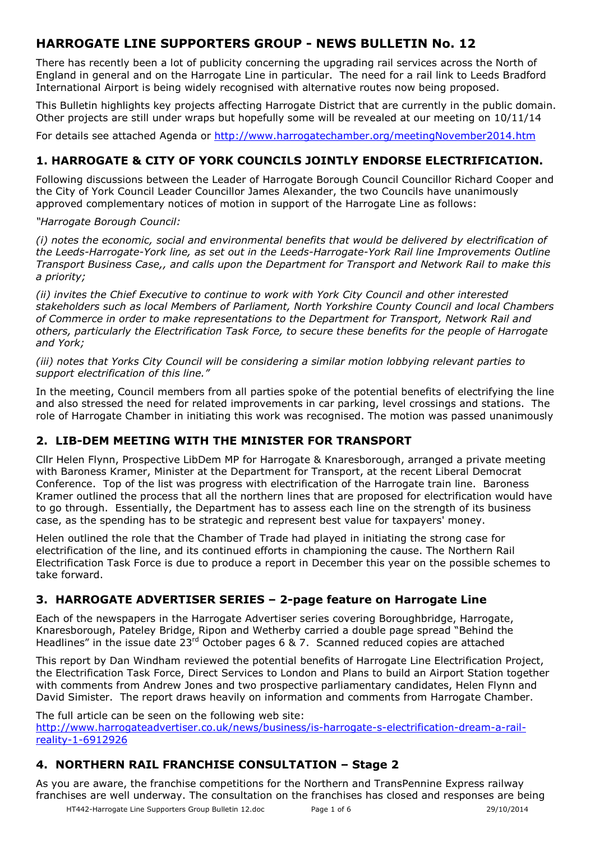# **HARROGATE LINE SUPPORTERS GROUP - NEWS BULLETIN No. 12**

There has recently been a lot of publicity concerning the upgrading rail services across the North of England in general and on the Harrogate Line in particular. The need for a rail link to Leeds Bradford International Airport is being widely recognised with alternative routes now being proposed.

This Bulletin highlights key projects affecting Harrogate District that are currently in the public domain. Other projects are still under wraps but hopefully some will be revealed at our meeting on 10/11/14

For details see attached Agenda or http://www.harrogatechamber.org/meetingNovember2014.htm

## **1. HARROGATE & CITY OF YORK COUNCILS JOINTLY ENDORSE ELECTRIFICATION.**

Following discussions between the Leader of Harrogate Borough Council Councillor Richard Cooper and the City of York Council Leader Councillor James Alexander, the two Councils have unanimously approved complementary notices of motion in support of the Harrogate Line as follows:

#### *"Harrogate Borough Council:*

*(i) notes the economic, social and environmental benefits that would be delivered by electrification of the Leeds-Harrogate-York line, as set out in the Leeds-Harrogate-York Rail line Improvements Outline Transport Business Case,, and calls upon the Department for Transport and Network Rail to make this a priority;* 

*(ii) invites the Chief Executive to continue to work with York City Council and other interested stakeholders such as local Members of Parliament, North Yorkshire County Council and local Chambers of Commerce in order to make representations to the Department for Transport, Network Rail and others, particularly the Electrification Task Force, to secure these benefits for the people of Harrogate and York;* 

#### *(iii) notes that Yorks City Council will be considering a similar motion lobbying relevant parties to support electrification of this line."*

In the meeting, Council members from all parties spoke of the potential benefits of electrifying the line and also stressed the need for related improvements in car parking, level crossings and stations. The role of Harrogate Chamber in initiating this work was recognised. The motion was passed unanimously

## **2. LIB-DEM MEETING WITH THE MINISTER FOR TRANSPORT**

Cllr Helen Flynn, Prospective LibDem MP for Harrogate & Knaresborough, arranged a private meeting with Baroness Kramer, Minister at the Department for Transport, at the recent Liberal Democrat Conference. Top of the list was progress with electrification of the Harrogate train line. Baroness Kramer outlined the process that all the northern lines that are proposed for electrification would have to go through. Essentially, the Department has to assess each line on the strength of its business case, as the spending has to be strategic and represent best value for taxpayers' money.

Helen outlined the role that the Chamber of Trade had played in initiating the strong case for electrification of the line, and its continued efforts in championing the cause. The Northern Rail Electrification Task Force is due to produce a report in December this year on the possible schemes to take forward.

## **3. HARROGATE ADVERTISER SERIES – 2-page feature on Harrogate Line**

Each of the newspapers in the Harrogate Advertiser series covering Boroughbridge, Harrogate, Knaresborough, Pateley Bridge, Ripon and Wetherby carried a double page spread "Behind the Headlines" in the issue date  $23^{rd}$  October pages 6 & 7. Scanned reduced copies are attached

This report by Dan Windham reviewed the potential benefits of Harrogate Line Electrification Project, the Electrification Task Force, Direct Services to London and Plans to build an Airport Station together with comments from Andrew Jones and two prospective parliamentary candidates, Helen Flynn and David Simister. The report draws heavily on information and comments from Harrogate Chamber.

The full article can be seen on the following web site:

http://www.harrogateadvertiser.co.uk/news/business/is-harrogate-s-electrification-dream-a-railreality-1-6912926

## **4. NORTHERN RAIL FRANCHISE CONSULTATION – Stage 2**

As you are aware, the franchise competitions for the Northern and TransPennine Express railway franchises are well underway. The consultation on the franchises has closed and responses are being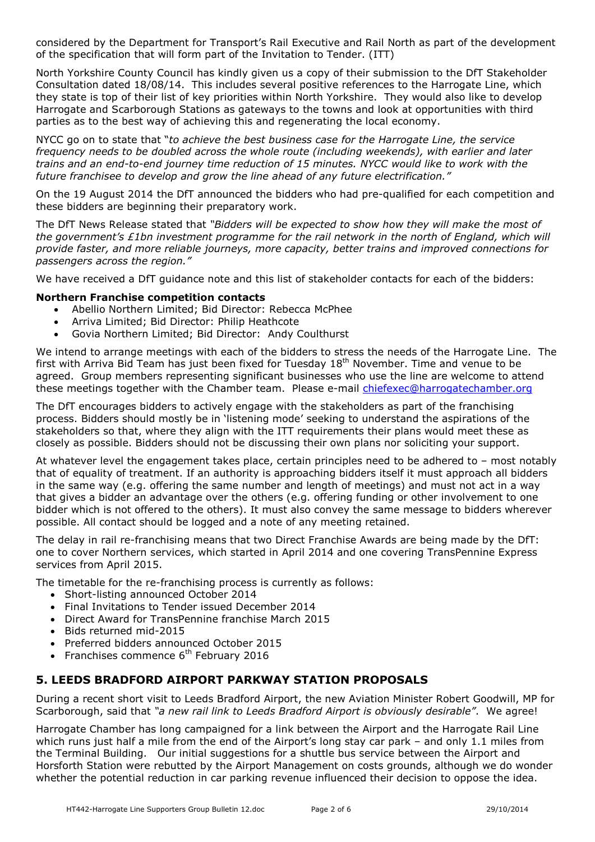considered by the Department for Transport's Rail Executive and Rail North as part of the development of the specification that will form part of the Invitation to Tender. (ITT)

North Yorkshire County Council has kindly given us a copy of their submission to the DfT Stakeholder Consultation dated 18/08/14. This includes several positive references to the Harrogate Line, which they state is top of their list of key priorities within North Yorkshire. They would also like to develop Harrogate and Scarborough Stations as gateways to the towns and look at opportunities with third parties as to the best way of achieving this and regenerating the local economy.

NYCC go on to state that "*to achieve the best business case for the Harrogate Line, the service frequency needs to be doubled across the whole route (including weekends), with earlier and later trains and an end-to-end journey time reduction of 15 minutes. NYCC would like to work with the future franchisee to develop and grow the line ahead of any future electrification."* 

On the 19 August 2014 the DfT announced the bidders who had pre-qualified for each competition and these bidders are beginning their preparatory work.

The DfT News Release stated that *"Bidders will be expected to show how they will make the most of the government's £1bn investment programme for the rail network in the north of England, which will provide faster, and more reliable journeys, more capacity, better trains and improved connections for passengers across the region."*

We have received a DfT guidance note and this list of stakeholder contacts for each of the bidders:

#### **Northern Franchise competition contacts**

- Abellio Northern Limited; Bid Director: Rebecca McPhee
- Arriva Limited; Bid Director: Philip Heathcote
- Govia Northern Limited; Bid Director: Andy Coulthurst

We intend to arrange meetings with each of the bidders to stress the needs of the Harrogate Line. The first with Arriva Bid Team has just been fixed for Tuesday  $18<sup>th</sup>$  November. Time and venue to be agreed. Group members representing significant businesses who use the line are welcome to attend these meetings together with the Chamber team. Please e-mail chiefexec@harrogatechamber.org

The DfT encourages bidders to actively engage with the stakeholders as part of the franchising process. Bidders should mostly be in 'listening mode' seeking to understand the aspirations of the stakeholders so that, where they align with the ITT requirements their plans would meet these as closely as possible. Bidders should not be discussing their own plans nor soliciting your support.

At whatever level the engagement takes place, certain principles need to be adhered to – most notably that of equality of treatment. If an authority is approaching bidders itself it must approach all bidders in the same way (e.g. offering the same number and length of meetings) and must not act in a way that gives a bidder an advantage over the others (e.g. offering funding or other involvement to one bidder which is not offered to the others). It must also convey the same message to bidders wherever possible. All contact should be logged and a note of any meeting retained.

The delay in rail re-franchising means that two Direct Franchise Awards are being made by the DfT: one to cover Northern services, which started in April 2014 and one covering TransPennine Express services from April 2015.

The timetable for the re-franchising process is currently as follows:

- Short-listing announced October 2014
- Final Invitations to Tender issued December 2014
- Direct Award for TransPennine franchise March 2015
- Bids returned mid-2015
- Preferred bidders announced October 2015
- Franchises commence  $6<sup>th</sup>$  February 2016

### **5. LEEDS BRADFORD AIRPORT PARKWAY STATION PROPOSALS**

During a recent short visit to Leeds Bradford Airport, the new Aviation Minister Robert Goodwill, MP for Scarborough, said that *"a new rail link to Leeds Bradford Airport is obviously desirable"*. We agree!

Harrogate Chamber has long campaigned for a link between the Airport and the Harrogate Rail Line which runs just half a mile from the end of the Airport's long stay car park – and only 1.1 miles from the Terminal Building. Our initial suggestions for a shuttle bus service between the Airport and Horsforth Station were rebutted by the Airport Management on costs grounds, although we do wonder whether the potential reduction in car parking revenue influenced their decision to oppose the idea.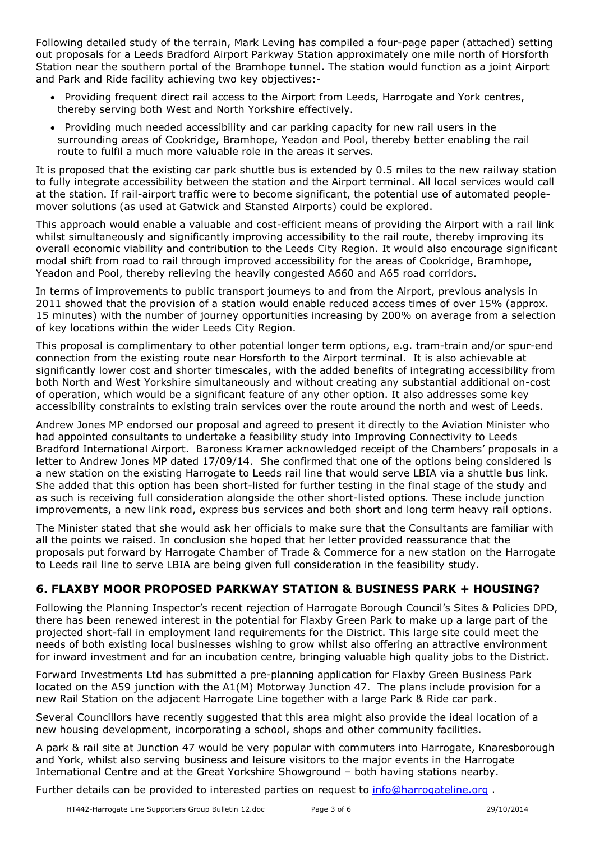Following detailed study of the terrain, Mark Leving has compiled a four-page paper (attached) setting out proposals for a Leeds Bradford Airport Parkway Station approximately one mile north of Horsforth Station near the southern portal of the Bramhope tunnel. The station would function as a joint Airport and Park and Ride facility achieving two key objectives:-

- Providing frequent direct rail access to the Airport from Leeds, Harrogate and York centres, thereby serving both West and North Yorkshire effectively.
- Providing much needed accessibility and car parking capacity for new rail users in the surrounding areas of Cookridge, Bramhope, Yeadon and Pool, thereby better enabling the rail route to fulfil a much more valuable role in the areas it serves.

It is proposed that the existing car park shuttle bus is extended by 0.5 miles to the new railway station to fully integrate accessibility between the station and the Airport terminal. All local services would call at the station. If rail-airport traffic were to become significant, the potential use of automated peoplemover solutions (as used at Gatwick and Stansted Airports) could be explored.

This approach would enable a valuable and cost-efficient means of providing the Airport with a rail link whilst simultaneously and significantly improving accessibility to the rail route, thereby improving its overall economic viability and contribution to the Leeds City Region. It would also encourage significant modal shift from road to rail through improved accessibility for the areas of Cookridge, Bramhope, Yeadon and Pool, thereby relieving the heavily congested A660 and A65 road corridors.

In terms of improvements to public transport journeys to and from the Airport, previous analysis in 2011 showed that the provision of a station would enable reduced access times of over 15% (approx. 15 minutes) with the number of journey opportunities increasing by 200% on average from a selection of key locations within the wider Leeds City Region.

This proposal is complimentary to other potential longer term options, e.g. tram-train and/or spur-end connection from the existing route near Horsforth to the Airport terminal. It is also achievable at significantly lower cost and shorter timescales, with the added benefits of integrating accessibility from both North and West Yorkshire simultaneously and without creating any substantial additional on-cost of operation, which would be a significant feature of any other option. It also addresses some key accessibility constraints to existing train services over the route around the north and west of Leeds.

Andrew Jones MP endorsed our proposal and agreed to present it directly to the Aviation Minister who had appointed consultants to undertake a feasibility study into Improving Connectivity to Leeds Bradford International Airport. Baroness Kramer acknowledged receipt of the Chambers' proposals in a letter to Andrew Jones MP dated 17/09/14. She confirmed that one of the options being considered is a new station on the existing Harrogate to Leeds rail line that would serve LBIA via a shuttle bus link. She added that this option has been short-listed for further testing in the final stage of the study and as such is receiving full consideration alongside the other short-listed options. These include junction improvements, a new link road, express bus services and both short and long term heavy rail options.

The Minister stated that she would ask her officials to make sure that the Consultants are familiar with all the points we raised. In conclusion she hoped that her letter provided reassurance that the proposals put forward by Harrogate Chamber of Trade & Commerce for a new station on the Harrogate to Leeds rail line to serve LBIA are being given full consideration in the feasibility study.

## **6. FLAXBY MOOR PROPOSED PARKWAY STATION & BUSINESS PARK + HOUSING?**

Following the Planning Inspector's recent rejection of Harrogate Borough Council's Sites & Policies DPD, there has been renewed interest in the potential for Flaxby Green Park to make up a large part of the projected short-fall in employment land requirements for the District. This large site could meet the needs of both existing local businesses wishing to grow whilst also offering an attractive environment for inward investment and for an incubation centre, bringing valuable high quality jobs to the District.

Forward Investments Ltd has submitted a pre-planning application for Flaxby Green Business Park located on the A59 junction with the A1(M) Motorway Junction 47. The plans include provision for a new Rail Station on the adjacent Harrogate Line together with a large Park & Ride car park.

Several Councillors have recently suggested that this area might also provide the ideal location of a new housing development, incorporating a school, shops and other community facilities.

A park & rail site at Junction 47 would be very popular with commuters into Harrogate, Knaresborough and York, whilst also serving business and leisure visitors to the major events in the Harrogate International Centre and at the Great Yorkshire Showground – both having stations nearby.

Further details can be provided to interested parties on request to *info@harrogateline.org*.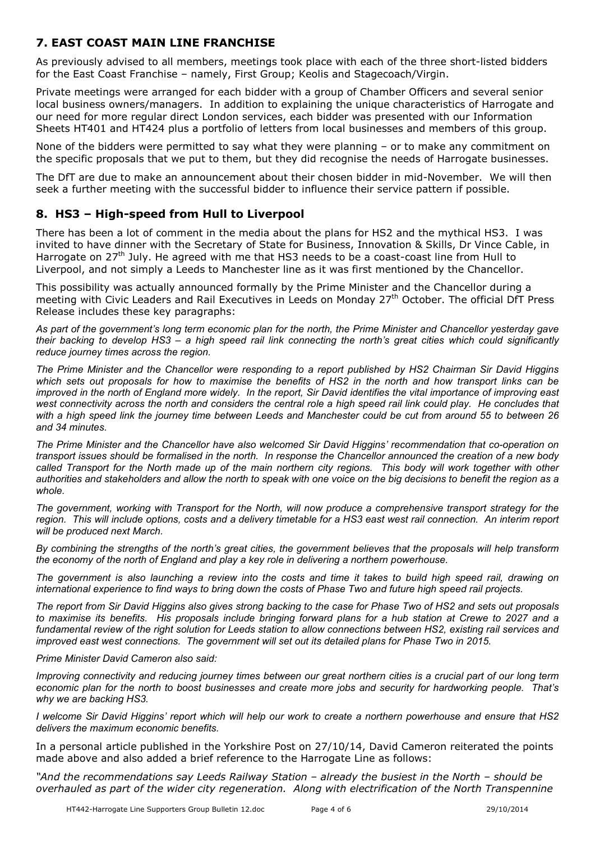### **7. EAST COAST MAIN LINE FRANCHISE**

As previously advised to all members, meetings took place with each of the three short-listed bidders for the East Coast Franchise – namely, First Group; Keolis and Stagecoach/Virgin.

Private meetings were arranged for each bidder with a group of Chamber Officers and several senior local business owners/managers. In addition to explaining the unique characteristics of Harrogate and our need for more regular direct London services, each bidder was presented with our Information Sheets HT401 and HT424 plus a portfolio of letters from local businesses and members of this group.

None of the bidders were permitted to say what they were planning – or to make any commitment on the specific proposals that we put to them, but they did recognise the needs of Harrogate businesses.

The DfT are due to make an announcement about their chosen bidder in mid-November. We will then seek a further meeting with the successful bidder to influence their service pattern if possible.

### **8. HS3 – High-speed from Hull to Liverpool**

There has been a lot of comment in the media about the plans for HS2 and the mythical HS3. I was invited to have dinner with the Secretary of State for Business, Innovation & Skills, Dr Vince Cable, in Harrogate on 27<sup>th</sup> July. He agreed with me that HS3 needs to be a coast-coast line from Hull to Liverpool, and not simply a Leeds to Manchester line as it was first mentioned by the Chancellor.

This possibility was actually announced formally by the Prime Minister and the Chancellor during a meeting with Civic Leaders and Rail Executives in Leeds on Monday 27<sup>th</sup> October. The official DfT Press Release includes these key paragraphs:

*As part of the government's long term economic plan for the north, the Prime Minister and Chancellor yesterday gave their backing to develop HS3 – a high speed rail link connecting the north's great cities which could significantly reduce journey times across the region.* 

*The Prime Minister and the Chancellor were responding to a report published by HS2 Chairman Sir David Higgins*  which sets out proposals for how to maximise the benefits of HS2 in the north and how transport links can be *improved in the north of England more widely. In the report, Sir David identifies the vital importance of improving east*  west connectivity across the north and considers the central role a high speed rail link could play. He concludes that with a high speed link the journey time between Leeds and Manchester could be cut from around 55 to between 26 *and 34 minutes.* 

*The Prime Minister and the Chancellor have also welcomed Sir David Higgins' recommendation that co-operation on transport issues should be formalised in the north. In response the Chancellor announced the creation of a new body called Transport for the North made up of the main northern city regions. This body will work together with other authorities and stakeholders and allow the north to speak with one voice on the big decisions to benefit the region as a whole.* 

*The government, working with Transport for the North, will now produce a comprehensive transport strategy for the region. This will include options, costs and a delivery timetable for a HS3 east west rail connection. An interim report will be produced next March.* 

*By combining the strengths of the north's great cities, the government believes that the proposals will help transform the economy of the north of England and play a key role in delivering a northern powerhouse.* 

*The government is also launching a review into the costs and time it takes to build high speed rail, drawing on international experience to find ways to bring down the costs of Phase Two and future high speed rail projects.* 

*The report from Sir David Higgins also gives strong backing to the case for Phase Two of HS2 and sets out proposals to maximise its benefits. His proposals include bringing forward plans for a hub station at Crewe to 2027 and a fundamental review of the right solution for Leeds station to allow connections between HS2, existing rail services and improved east west connections. The government will set out its detailed plans for Phase Two in 2015.*

#### *Prime Minister David Cameron also said:*

*Improving connectivity and reducing journey times between our great northern cities is a crucial part of our long term economic plan for the north to boost businesses and create more jobs and security for hardworking people. That's why we are backing HS3.* 

*I welcome Sir David Higgins' report which will help our work to create a northern powerhouse and ensure that HS2 delivers the maximum economic benefits.* 

In a personal article published in the Yorkshire Post on 27/10/14, David Cameron reiterated the points made above and also added a brief reference to the Harrogate Line as follows:

*"And the recommendations say Leeds Railway Station – already the busiest in the North – should be overhauled as part of the wider city regeneration. Along with electrification of the North Transpennine*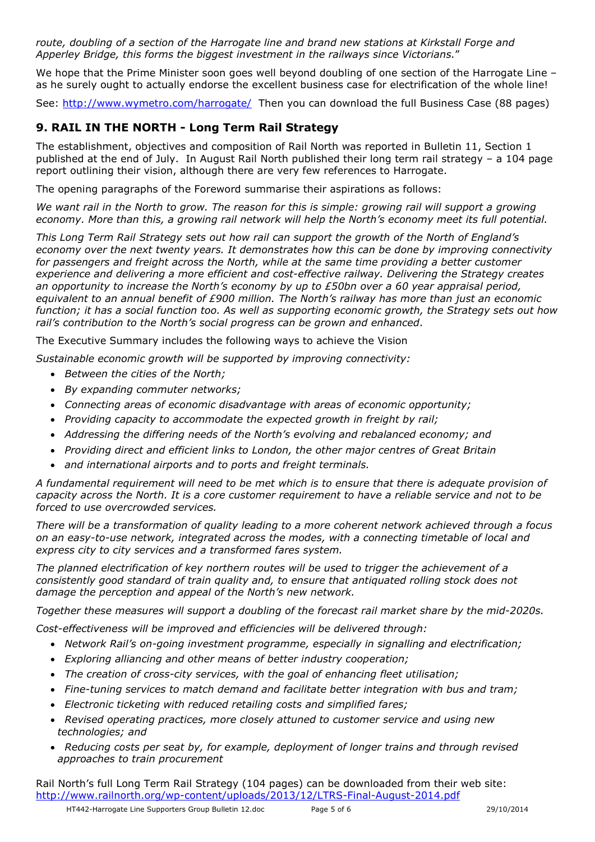*route, doubling of a section of the Harrogate line and brand new stations at Kirkstall Forge and Apperley Bridge, this forms the biggest investment in the railways since Victorians.*"

We hope that the Prime Minister soon goes well beyond doubling of one section of the Harrogate Line – as he surely ought to actually endorse the excellent business case for electrification of the whole line!

See: http://www.wymetro.com/harrogate/ Then you can download the full Business Case (88 pages)

### **9. RAIL IN THE NORTH - Long Term Rail Strategy**

The establishment, objectives and composition of Rail North was reported in Bulletin 11, Section 1 published at the end of July. In August Rail North published their long term rail strategy – a 104 page report outlining their vision, although there are very few references to Harrogate.

The opening paragraphs of the Foreword summarise their aspirations as follows:

*We want rail in the North to grow. The reason for this is simple: growing rail will support a growing economy. More than this, a growing rail network will help the North's economy meet its full potential.* 

*This Long Term Rail Strategy sets out how rail can support the growth of the North of England's economy over the next twenty years. It demonstrates how this can be done by improving connectivity*  for passengers and freight across the North, while at the same time providing a better customer *experience and delivering a more efficient and cost-effective railway. Delivering the Strategy creates an opportunity to increase the North's economy by up to £50bn over a 60 year appraisal period, equivalent to an annual benefit of £900 million. The North's railway has more than just an economic function; it has a social function too. As well as supporting economic growth, the Strategy sets out how rail's contribution to the North's social progress can be grown and enhanced*.

The Executive Summary includes the following ways to achieve the Vision

*Sustainable economic growth will be supported by improving connectivity:* 

- *Between the cities of the North;*
- *By expanding commuter networks;*
- *Connecting areas of economic disadvantage with areas of economic opportunity;*
- *Providing capacity to accommodate the expected growth in freight by rail;*
- *Addressing the differing needs of the North's evolving and rebalanced economy; and*
- *Providing direct and efficient links to London, the other major centres of Great Britain*
- *and international airports and to ports and freight terminals.*

*A fundamental requirement will need to be met which is to ensure that there is adequate provision of capacity across the North. It is a core customer requirement to have a reliable service and not to be forced to use overcrowded services.* 

*There will be a transformation of quality leading to a more coherent network achieved through a focus on an easy-to-use network, integrated across the modes, with a connecting timetable of local and express city to city services and a transformed fares system.* 

*The planned electrification of key northern routes will be used to trigger the achievement of a consistently good standard of train quality and, to ensure that antiquated rolling stock does not damage the perception and appeal of the North's new network.* 

*Together these measures will support a doubling of the forecast rail market share by the mid-2020s.* 

*Cost-effectiveness will be improved and efficiencies will be delivered through:* 

- *Network Rail's on-going investment programme, especially in signalling and electrification;*
- *Exploring alliancing and other means of better industry cooperation;*
- *The creation of cross-city services, with the goal of enhancing fleet utilisation;*
- *Fine-tuning services to match demand and facilitate better integration with bus and tram;*
- *Electronic ticketing with reduced retailing costs and simplified fares;*
- *Revised operating practices, more closely attuned to customer service and using new technologies; and*
- *Reducing costs per seat by, for example, deployment of longer trains and through revised approaches to train procurement*

Rail North's full Long Term Rail Strategy (104 pages) can be downloaded from their web site: http://www.railnorth.org/wp-content/uploads/2013/12/LTRS-Final-August-2014.pdf